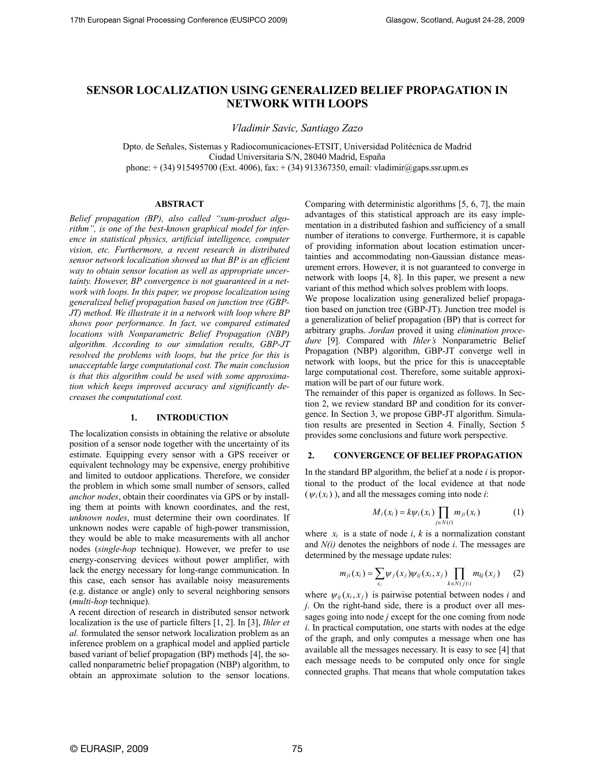# **SENSOR LOCALIZATION USING GENERALIZED BELIEF PROPAGATION IN NETWORK WITH LOOPS**

*Vladimir Savic, Santiago Zazo* 

Dpto. de Señales, Sistemas y Radiocomunicaciones-ETSIT, Universidad Politécnica de Madrid Ciudad Universitaria S/N, 28040 Madrid, España phone: + (34) 915495700 (Ext. 4006), fax: + (34) 913367350, email: vladimir@gaps.ssr.upm.es

#### **ABSTRACT**

*Belief propagation (BP), also called "sum-product algorithm", is one of the best-known graphical model for inference in statistical physics, artificial intelligence, computer vision, etc. Furthermore, a recent research in distributed sensor network localization showed us that BP is an efficient way to obtain sensor location as well as appropriate uncertainty. However, BP convergence is not guaranteed in a network with loops. In this paper, we propose localization using generalized belief propagation based on junction tree (GBP-JT) method. We illustrate it in a network with loop where BP shows poor performance. In fact, we compared estimated locations with Nonparametric Belief Propagation (NBP) algorithm. According to our simulation results, GBP-JT resolved the problems with loops, but the price for this is unacceptable large computational cost. The main conclusion is that this algorithm could be used with some approximation which keeps improved accuracy and significantly decreases the computational cost.* 

# **1. INTRODUCTION**

The localization consists in obtaining the relative or absolute position of a sensor node together with the uncertainty of its estimate. Equipping every sensor with a GPS receiver or equivalent technology may be expensive, energy prohibitive and limited to outdoor applications. Therefore, we consider the problem in which some small number of sensors, called *anchor nodes*, obtain their coordinates via GPS or by installing them at points with known coordinates, and the rest, *unknown nodes*, must determine their own coordinates. If unknown nodes were capable of high-power transmission, they would be able to make measurements with all anchor nodes (*single-hop* technique). However, we prefer to use energy-conserving devices without power amplifier, with lack the energy necessary for long-range communication. In this case, each sensor has available noisy measurements (e.g. distance or angle) only to several neighboring sensors (*multi-hop* technique).

A recent direction of research in distributed sensor network localization is the use of particle filters [1, 2]. In [3], *Ihler et al.* formulated the sensor network localization problem as an inference problem on a graphical model and applied particle based variant of belief propagation (BP) methods [4], the socalled nonparametric belief propagation (NBP) algorithm, to obtain an approximate solution to the sensor locations.

Comparing with deterministic algorithms [5, 6, 7], the main advantages of this statistical approach are its easy implementation in a distributed fashion and sufficiency of a small number of iterations to converge. Furthermore, it is capable of providing information about location estimation uncertainties and accommodating non-Gaussian distance measurement errors. However, it is not guaranteed to converge in network with loops [4, 8]. In this paper, we present a new variant of this method which solves problem with loops.

We propose localization using generalized belief propagation based on junction tree (GBP-JT). Junction tree model is a generalization of belief propagation (BP) that is correct for arbitrary graphs. *Jordan* proved it using *elimination procedure* [9]. Compared with *Ihler's* Nonparametric Belief Propagation (NBP) algorithm, GBP-JT converge well in network with loops, but the price for this is unacceptable large computational cost. Therefore, some suitable approximation will be part of our future work.

The remainder of this paper is organized as follows. In Section 2, we review standard BP and condition for its convergence. In Section 3, we propose GBP-JT algorithm. Simulation results are presented in Section 4. Finally, Section 5 provides some conclusions and future work perspective.

### **2. CONVERGENCE OF BELIEF PROPAGATION**

In the standard BP algorithm, the belief at a node *i* is proportional to the product of the local evidence at that node  $(\psi_i(x_i))$ , and all the messages coming into node *i*:

$$
M_i(x_i) = k\psi_i(x_i) \prod_{j \in N(i)} m_{ji}(x_i)
$$
 (1)

where  $x_i$  is a state of node  $i$ ,  $k$  is a normalization constant and *N(i)* denotes the neighbors of node *i*. The messages are determined by the message update rules:

$$
m_{ji}(x_i) = \sum_{x_j} \psi_j(x_j) \psi_{ij}(x_i, x_j) \prod_{k \in N(j) \setminus i} m_{kj}(x_j)
$$
 (2)

where  $\psi_{ii}(x_i, x_i)$  is pairwise potential between nodes *i* and *j*. On the right-hand side, there is a product over all messages going into node *j* except for the one coming from node *i*. In practical computation, one starts with nodes at the edge of the graph, and only computes a message when one has available all the messages necessary. It is easy to see [4] that each message needs to be computed only once for single connected graphs. That means that whole computation takes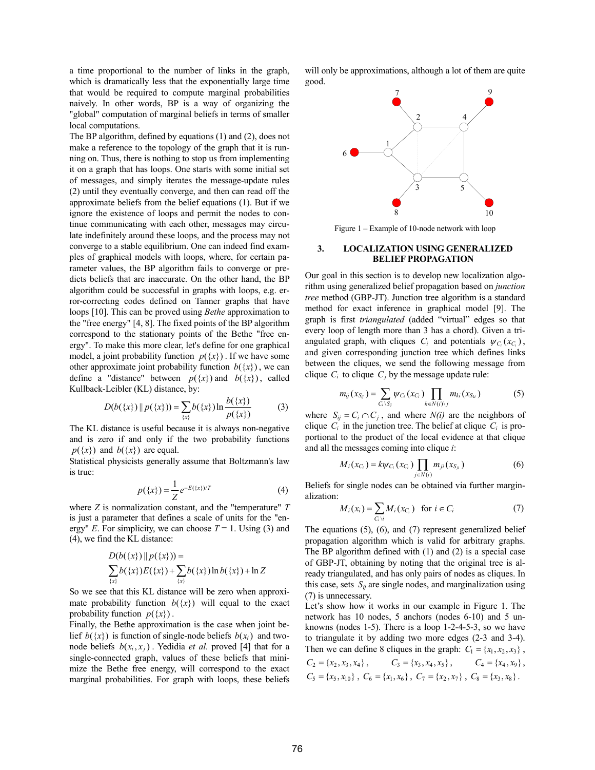a time proportional to the number of links in the graph, which is dramatically less that the exponentially large time that would be required to compute marginal probabilities naively. In other words, BP is a way of organizing the "global" computation of marginal beliefs in terms of smaller local computations.

The BP algorithm, defined by equations (1) and (2), does not make a reference to the topology of the graph that it is running on. Thus, there is nothing to stop us from implementing it on a graph that has loops. One starts with some initial set of messages, and simply iterates the message-update rules (2) until they eventually converge, and then can read off the approximate beliefs from the belief equations (1). But if we ignore the existence of loops and permit the nodes to continue communicating with each other, messages may circulate indefinitely around these loops, and the process may not converge to a stable equilibrium. One can indeed find examples of graphical models with loops, where, for certain parameter values, the BP algorithm fails to converge or predicts beliefs that are inaccurate. On the other hand, the BP algorithm could be successful in graphs with loops, e.g. error-correcting codes defined on Tanner graphs that have loops [10]. This can be proved using *Bethe* approximation to the "free energy" [4, 8]. The fixed points of the BP algorithm correspond to the stationary points of the Bethe "free energy". To make this more clear, let's define for one graphical model, a joint probability function  $p({x})$ . If we have some other approximate joint probability function  $b({x})$ , we can define a "distance" between  $p({x})$  and  $b({x})$ , called Kullback-Leibler (KL) distance, by:

$$
D(b({x}) || p({x})) = \sum_{\{x\}} b({x}) \ln \frac{b({x})}{p({x})}
$$
 (3)

The KL distance is useful because it is always non-negative and is zero if and only if the two probability functions  $p({x})$  and  $b({x})$  are equal.

Statistical physicists generally assume that Boltzmann's law is true:

$$
p(\{x\}) = \frac{1}{Z} e^{-E(\{x\})/T}
$$
 (4)

where *Z* is normalization constant, and the "temperature" *T* is just a parameter that defines a scale of units for the "energy" *E*. For simplicity, we can choose  $T = 1$ . Using (3) and (4), we find the KL distance:

$$
D(b({x}) || p({x})) =
$$
  

$$
\sum_{\{x\}} b({x}) E({x}) + \sum_{\{x\}} b({x}) \ln b({x}) + \ln Z
$$

So we see that this KL distance will be zero when approximate probability function  $b({x})$  will equal to the exact probability function  $p({x})$ .

Finally, the Bethe approximation is the case when joint belief  $b({x})$  is function of single-node beliefs  $b(x_i)$  and twonode beliefs  $b(x_i, x_i)$ . Yedidia *et al.* proved [4] that for a single-connected graph, values of these beliefs that minimize the Bethe free energy, will correspond to the exact marginal probabilities. For graph with loops, these beliefs

will only be approximations, although a lot of them are quite good.



Figure 1 – Example of 10-node network with loop

#### **3. LOCALIZATION USING GENERALIZED BELIEF PROPAGATION**

Our goal in this section is to develop new localization algorithm using generalized belief propagation based on *junction tree* method (GBP-JT). Junction tree algorithm is a standard method for exact inference in graphical model [9]. The graph is first *triangulated* (added "virtual" edges so that every loop of length more than 3 has a chord). Given a triangulated graph, with cliques  $C_i$  and potentials  $\psi_C(x_C)$ , and given corresponding junction tree which defines links between the cliques, we send the following message from clique  $C_i$  to clique  $C_j$  by the message update rule:

$$
m_{ij}(x_{S_{ij}})=\sum_{C_i\setminus S_{ij}}\psi_{C_i}(x_{C_i})\prod_{k\in N(i)\setminus j}m_{ki}(x_{S_{ki}})
$$
(5)

where  $S_{ij} = C_i \cap C_j$ , and where  $N(i)$  are the neighbors of clique  $C_i$  in the junction tree. The belief at clique  $C_i$  is proportional to the product of the local evidence at that clique and all the messages coming into clique *i*:

$$
M_i(x_{C_i}) = k\psi_{C_i}(x_{C_i}) \prod_{j \in N(i)} m_{ji}(x_{S_{ji}})
$$
 (6)

Beliefs for single nodes can be obtained via further marginalization:

$$
M_i(x_i) = \sum_{C_i \setminus i} M_i(x_{C_i}) \text{ for } i \in C_i
$$
 (7)

The equations (5), (6), and (7) represent generalized belief propagation algorithm which is valid for arbitrary graphs. The BP algorithm defined with (1) and (2) is a special case of GBP-JT, obtaining by noting that the original tree is already triangulated, and has only pairs of nodes as cliques. In this case, sets  $S_{ii}$  are single nodes, and marginalization using (7) is unnecessary.

Let's show how it works in our example in Figure 1. The network has 10 nodes, 5 anchors (nodes 6-10) and 5 unknowns (nodes 1-5). There is a loop 1-2-4-5-3, so we have to triangulate it by adding two more edges (2-3 and 3-4). Then we can define 8 cliques in the graph:  $C_1 = \{x_1, x_2, x_3\}$ ,

$$
C_2 = \{x_2, x_3, x_4\}, \t C_3 = \{x_3, x_4, x_5\}, \t C_4 = \{x_4, x_9\},C_5 = \{x_5, x_{10}\}, C_6 = \{x_1, x_6\}, C_7 = \{x_2, x_7\}, C_8 = \{x_3, x_8\}.
$$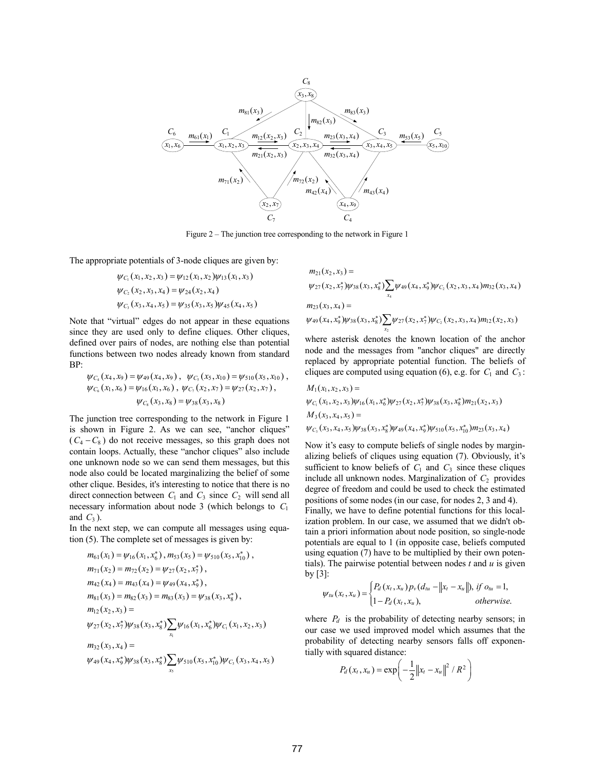

Figure 2 – The junction tree corresponding to the network in Figure 1

The appropriate potentials of 3-node cliques are given by:

$$
\psi_{C_1}(x_1, x_2, x_3) = \psi_{12}(x_1, x_2) \psi_{13}(x_1, x_3)
$$
  
\n
$$
\psi_{C_2}(x_2, x_3, x_4) = \psi_{24}(x_2, x_4)
$$
  
\n
$$
\psi_{C_3}(x_3, x_4, x_5) = \psi_{35}(x_3, x_5) \psi_{45}(x_4, x_5)
$$

Note that "virtual" edges do not appear in these equations since they are used only to define cliques. Other cliques, defined over pairs of nodes, are nothing else than potential functions between two nodes already known from standard BP:

$$
\psi_{C_4}(x_4, x_9) = \psi_{49}(x_4, x_9), \quad \psi_{C_5}(x_5, x_{10}) = \psi_{510}(x_5, x_{10}), \n\psi_{C_6}(x_1, x_6) = \psi_{16}(x_1, x_6), \quad \psi_{C_7}(x_2, x_7) = \psi_{27}(x_2, x_7), \n\psi_{C_8}(x_3, x_8) = \psi_{38}(x_3, x_8)
$$

The junction tree corresponding to the network in Figure 1 is shown in Figure 2. As we can see, "anchor cliques"  $(C_4 - C_8)$  do not receive messages, so this graph does not contain loops. Actually, these "anchor cliques" also include one unknown node so we can send them messages, but this node also could be located marginalizing the belief of some other clique. Besides, it's interesting to notice that there is no direct connection between  $C_1$  and  $C_3$  since  $C_2$  will send all necessary information about node 3 (which belongs to *C*<sup>1</sup> and  $C_3$ ).

In the next step, we can compute all messages using equation (5). The complete set of messages is given by:

$$
m_{61}(x_1) = \psi_{16}(x_1, x_6^*) , m_{53}(x_5) = \psi_{510}(x_5, x_{10}^*) ,
$$
  
\n
$$
m_{71}(x_2) = m_{72}(x_2) = \psi_{27}(x_2, x_7^*) ,
$$
  
\n
$$
m_{42}(x_4) = m_{43}(x_4) = \psi_{49}(x_4, x_9^*) ,
$$
  
\n
$$
m_{81}(x_3) = m_{82}(x_3) = m_{83}(x_3) = \psi_{38}(x_3, x_8^*) ,
$$
  
\n
$$
m_{12}(x_2, x_3) =
$$
  
\n
$$
\psi_{27}(x_2, x_7^*)\psi_{38}(x_3, x_8^*) \sum_{x_1} \psi_{16}(x_1, x_6^*) \psi_{C_1}(x_1, x_2, x_3)
$$
  
\n
$$
m_{32}(x_3, x_4) =
$$
  
\n
$$
\psi_{49}(x_4, x_9^*) \psi_{38}(x_3, x_8^*) \sum_{x_5} \psi_{510}(x_5, x_{10}^*) \psi_{C_5}(x_3, x_4, x_5)
$$

$$
m_{21}(x_2, x_3) =
$$
  
\n
$$
\psi_{27}(x_2, x_7^*)\psi_{38}(x_3, x_8^*)\sum_{x_4}\psi_{49}(x_4, x_9^*)\psi_{C_2}(x_2, x_3, x_4)m_{32}(x_3, x_4)
$$
  
\n
$$
m_{23}(x_3, x_4) =
$$
  
\n
$$
\psi_{49}(x_4, x_9^*)\psi_{38}(x_3, x_8^*)\sum_{x_2}\psi_{27}(x_2, x_7^*)\psi_{C_2}(x_2, x_3, x_4)m_{12}(x_2, x_3)
$$

where asterisk denotes the known location of the anchor node and the messages from "anchor cliques" are directly replaced by appropriate potential function. The beliefs of cliques are computed using equation (6), e.g. for  $C_1$  and  $C_3$ :

$$
M_1(x_1, x_2, x_3) =
$$
  
\n
$$
\psi_{C_1}(x_1, x_2, x_3) \psi_{16}(x_1, x_6^*) \psi_{27}(x_2, x_7^*) \psi_{38}(x_3, x_8^*) m_{21}(x_2, x_3)
$$
  
\n
$$
M_3(x_3, x_4, x_5) =
$$
  
\n
$$
\psi_{C_3}(x_3, x_4, x_5) \psi_{38}(x_3, x_8^*) \psi_{49}(x_4, x_9^*) \psi_{510}(x_5, x_{10}^*) m_{23}(x_3, x_4)
$$

Now it's easy to compute beliefs of single nodes by marginalizing beliefs of cliques using equation (7). Obviously, it's sufficient to know beliefs of  $C_1$  and  $C_3$  since these cliques include all unknown nodes. Marginalization of  $C_2$  provides degree of freedom and could be used to check the estimated positions of some nodes (in our case, for nodes 2, 3 and 4).

Finally, we have to define potential functions for this localization problem. In our case, we assumed that we didn't obtain a priori information about node position, so single-node potentials are equal to 1 (in opposite case, beliefs computed using equation (7) have to be multiplied by their own potentials). The pairwise potential between nodes *t* and *u* is given by  $\lceil 3 \rceil$ :

$$
\psi_{tu}(x_t, x_u) = \begin{cases} P_d(x_t, x_u) p_v(d_{tu} - ||x_t - x_u||), \text{ if } o_{tu} = 1, \\ 1 - P_d(x_t, x_u), \text{ otherwise.} \end{cases}
$$

where  $P_d$  is the probability of detecting nearby sensors; in our case we used improved model which assumes that the probability of detecting nearby sensors falls off exponentially with squared distance:

$$
P_d(x_t, x_u) = \exp\left(-\frac{1}{2}||x_t - x_u||^2 / R^2\right)
$$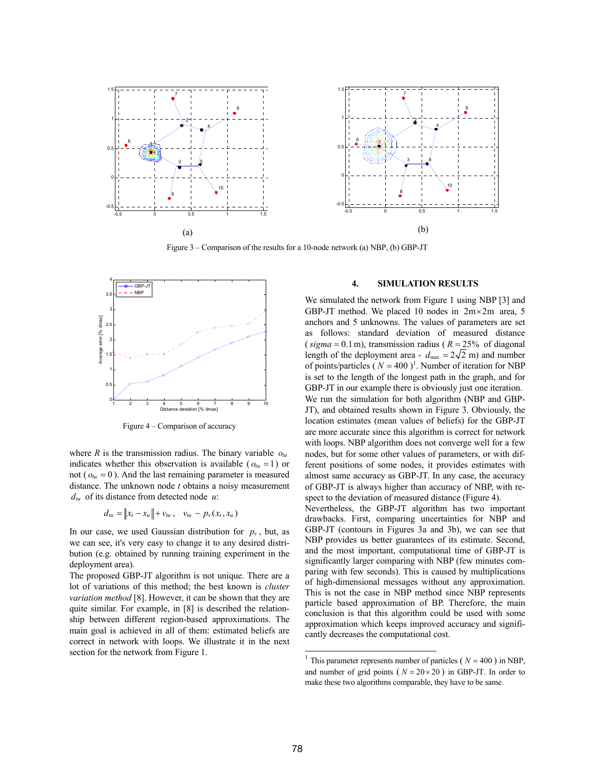

Figure 3 – Comparison of the results for a 10-node network (a) NBP, (b) GBP-JT



Figure 4 – Comparison of accuracy

where  $R$  is the transmission radius. The binary variable  $o_{tu}$ indicates whether this observation is available ( $o_{tu} = 1$ ) or not ( $o_{tu} = 0$ ). And the last remaining parameter is measured distance. The unknown node *t* obtains a noisy measurement  $d<sub>tu</sub>$  of its distance from detected node  $u$ .

$$
d_{tu} = ||x_t - x_u|| + v_{tu}, \quad v_{tu} \sim p_v(x_t, x_u)
$$

In our case, we used Gaussian distribution for  $p<sub>v</sub>$ , but, as we can see, it's very easy to change it to any desired distribution (e.g. obtained by running training experiment in the deployment area).

The proposed GBP-JT algorithm is not unique. There are a lot of variations of this method; the best known is *cluster variation method* [8]. However, it can be shown that they are quite similar. For example, in [8] is described the relationship between different region-based approximations. The main goal is achieved in all of them: estimated beliefs are correct in network with loops. We illustrate it in the next section for the network from Figure 1.

### **4. SIMULATION RESULTS**

We simulated the network from Figure 1 using NBP [3] and GBP-JT method. We placed 10 nodes in  $2m \times 2m$  area, 5 anchors and 5 unknowns. The values of parameters are set as follows: standard deviation of measured distance ( $sigma = 0.1$ m), transmission radius ( $R = 25%$  of diagonal length of the deployment area -  $d_{\text{max}} = 2\sqrt{2}$  m) and number of points/particles  $(N = 400)^1$ . Number of iteration for NBP is set to the length of the longest path in the graph, and for GBP-JT in our example there is obviously just one iteration. We run the simulation for both algorithm (NBP and GBP-JT), and obtained results shown in Figure 3. Obviously, the location estimates (mean values of beliefs) for the GBP-JT are more accurate since this algorithm is correct for network with loops. NBP algorithm does not converge well for a few nodes, but for some other values of parameters, or with different positions of some nodes, it provides estimates with almost same accuracy as GBP-JT. In any case, the accuracy of GBP-JT is always higher than accuracy of NBP, with respect to the deviation of measured distance (Figure 4).

Nevertheless, the GBP-JT algorithm has two important drawbacks. First, comparing uncertainties for NBP and GBP-JT (contours in Figures 3a and 3b), we can see that NBP provides us better guarantees of its estimate. Second, and the most important, computational time of GBP-JT is significantly larger comparing with NBP (few minutes comparing with few seconds). This is caused by multiplications of high-dimensional messages without any approximation. This is not the case in NBP method since NBP represents particle based approximation of BP. Therefore, the main conclusion is that this algorithm could be used with some approximation which keeps improved accuracy and significantly decreases the computational cost.

 $\overline{a}$ 

<sup>&</sup>lt;sup>1</sup> This parameter represents number of particles ( $N = 400$ ) in NBP, and number of grid points ( $N = 20 \times 20$ ) in GBP-JT. In order to make these two algorithms comparable, they have to be same.